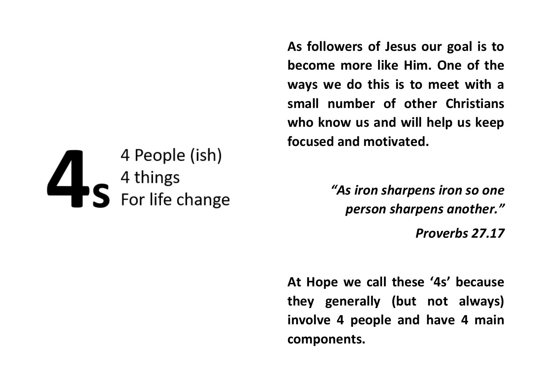4 People (ish) 4 things<br>S For life change

**As followers of Jesus our goal is to become more like Him. One of the ways we do this is to meet with a small number of other Christians who know us and will help us keep focused and motivated.** 

> *"As iron sharpens iron so one person sharpens another."*

> > *Proverbs 27.17*

**At Hope we call these '4s' because they generally (but not always) involve 4 people and have 4 main components.**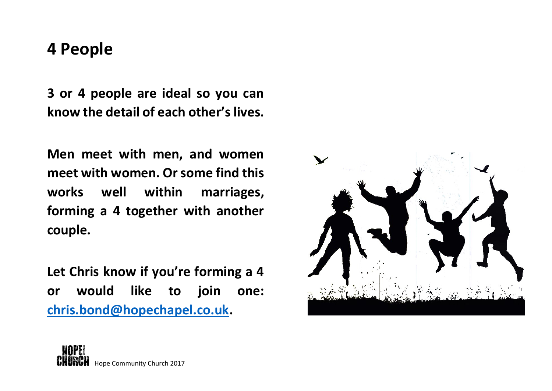#### **4 People**

**3 or 4 people are ideal so you can know the detail of each other's lives.** 

**Men meet with men, and women meet with women. Or some find this works well within marriages, forming a 4 together with another couple.** 

**Let Chris know if you're forming a 4 or would like to join one: [chris.bond@hopechapel.co.uk.](mailto:chris.bond@hopechapel.co.uk)**



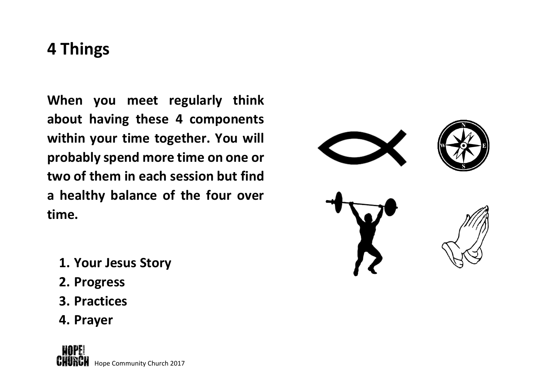## **4 Things**

**When you meet regularly think about having these 4 components within your time together. You will probably spend more time on one or two of them in each session but find a healthy balance of the four over time.** 

- **1. Your Jesus Story**
- **2. Progress**
- **3. Practices**
- **4. Prayer**

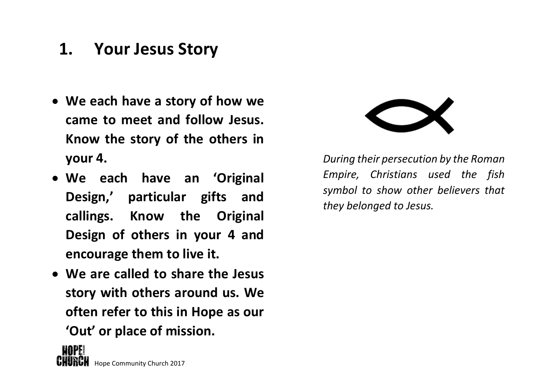#### **1. Your Jesus Story**

- **We each have a story of how we came to meet and follow Jesus. Know the story of the others in your 4.**
- **We each have an 'Original Design,' particular gifts and callings. Know the Original Design of others in your 4 and encourage them to live it.**
- **We are called to share the Jesus story with others around us. We often refer to this in Hope as our 'Out' or place of mission.**





*During their persecution by the Roman Empire, Christians used the fish symbol to show other believers that they belonged to Jesus.*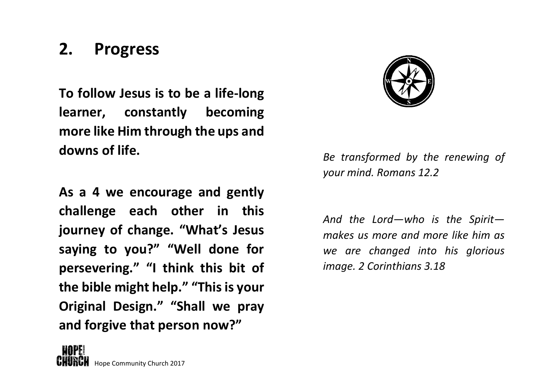#### **2. Progress**

**To follow Jesus is to be a life-long learner, constantly becoming more like Him through the ups and downs of life.** 

**As a 4 we encourage and gently challenge each other in this journey of change. "What's Jesus saying to you?" "Well done for persevering." "I think this bit of the bible might help." "This is your Original Design." "Shall we pray and forgive that person now?"**



*Be transformed by the renewing of your mind. Romans 12.2*

*And the Lord—who is the Spirit makes us more and more like him as we are changed into his glorious image. 2 Corinthians 3.18*

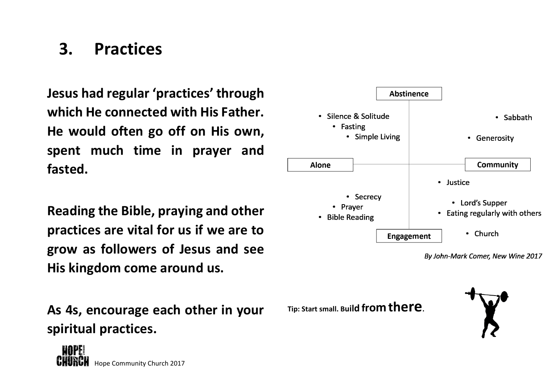## **3. Practices**

**Jesus had regular 'practices' through which He connected with His Father. He would often go off on His own, spent much time in prayer and fasted.** 

**Reading the Bible, praying and other practices are vital for us if we are to grow as followers of Jesus and see His kingdom come around us.** 

**As 4s, encourage each other in your spiritual practices.**





By John-Mark Comer, New Wine 2017

**Tip: Start small. Buil<sup>d</sup> <sup>f</sup>rom there.**

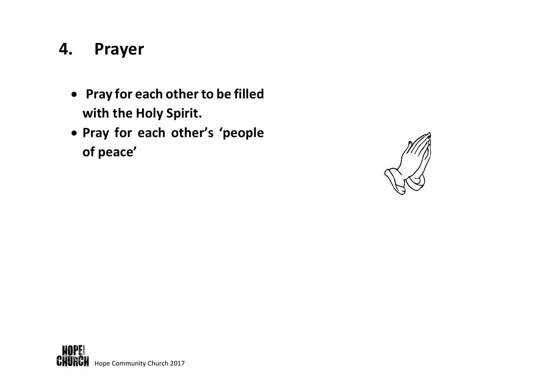### **4. Prayer**

- **Pray for each other to be filled with the Holy Spirit.**
- **Pray for each other's 'people of peace'**



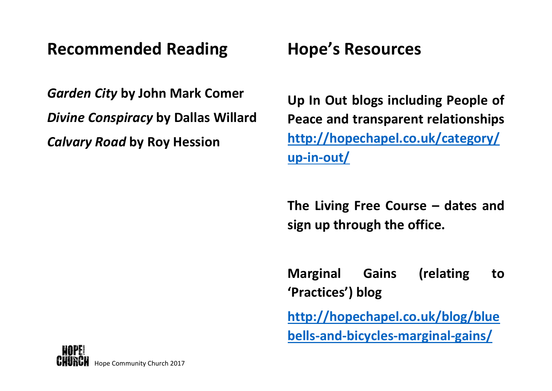## **Recommended Reading**

*Garden City* **by John Mark Comer** *Divine Conspiracy* **by Dallas Willard** *Calvary Road* **by Roy Hession**

# **Hope's Resources**

**Up In Out blogs including People of Peace and transparent relationships [http://hopechapel.co.uk/category/](http://hopechapel.co.uk/category/up-in-out/) [up-in-out/](http://hopechapel.co.uk/category/up-in-out/)**

**The Living Free Course – dates and sign up through the office.** 

**Marginal Gains (relating to 'Practices') blog** 

**[http://hopechapel.co.uk/blog/blue](http://hopechapel.co.uk/blog/bluebells-and-bicycles-marginal-gains/) [bells-and-bicycles-marginal-gains/](http://hopechapel.co.uk/blog/bluebells-and-bicycles-marginal-gains/)**